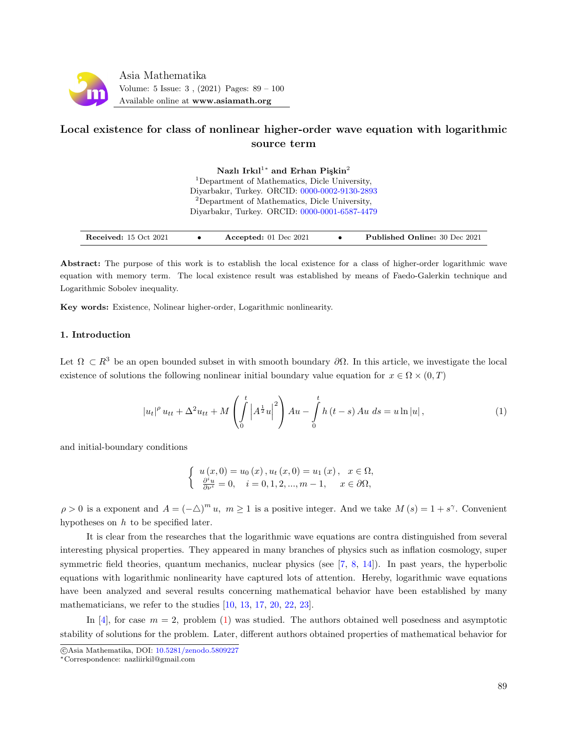

# Local existence for class of nonlinear higher-order wave equation with logarithmic source term

Nazlı Irkıl<sup>1</sup><sup>\*</sup> and Erhan Pişkin<sup>2</sup> <sup>1</sup>Department of Mathematics, Dicle University, Diyarbakır, Turkey. ORCID: [0000-0002-9130-2893](https://orcid.org/0000-0002-9130-2893) <sup>2</sup>Department of Mathematics, Dicle University, Diyarbakır, Turkey. ORCID: [0000-0001-6587-4479](https://orcid.org/0000-0002-9130-2893)

| <b>Received:</b> 15 Oct 2021 |  | Accepted: $01$ Dec $2021$ |  | <b>Published Online: 30 Dec 2021</b> |
|------------------------------|--|---------------------------|--|--------------------------------------|
|------------------------------|--|---------------------------|--|--------------------------------------|

Abstract: The purpose of this work is to establish the local existence for a class of higher-order logarithmic wave equation with memory term. The local existence result was established by means of Faedo-Galerkin technique and Logarithmic Sobolev inequality.

Key words: Existence, Nolinear higher-order, Logarithmic nonlinearity.

## 1. Introduction

Let  $\Omega \subset R^3$  be an open bounded subset in with smooth boundary  $\partial\Omega$ . In this article, we investigate the local existence of solutions the following nonlinear initial boundary value equation for  $x \in \Omega \times (0,T)$ 

$$
|u_t|^{\rho} u_{tt} + \Delta^2 u_{tt} + M \left( \int_0^t \left| A^{\frac{1}{2}} u \right|^2 \right) A u - \int_0^t h(t-s) A u \, ds = u \ln|u|, \tag{1}
$$

and initial-boundary conditions

<span id="page-0-0"></span>
$$
\begin{cases}\n u(x,0) = u_0(x), u_t(x,0) = u_1(x), & x \in \Omega, \\
 \frac{\partial^i u}{\partial \nu^i} = 0, & i = 0,1,2,...,m-1, \quad x \in \partial\Omega,\n\end{cases}
$$

 $\rho > 0$  is a exponent and  $A = (-\Delta)^m u$ ,  $m \ge 1$  is a positive integer. And we take  $M(s) = 1 + s^{\gamma}$ . Convenient hypotheses on  $h$  to be specified later.

It is clear from the researches that the logarithmic wave equations are contra distinguished from several interesting physical properties. They appeared in many branches of physics such as inflation cosmology, super symmetric field theories, quantum mechanics, nuclear physics (see [\[7,](#page-11-0) [8,](#page-11-1) [14\]](#page-11-2)). In past years, the hyperbolic equations with logarithmic nonlinearity have captured lots of attention. Hereby, logarithmic wave equations have been analyzed and several results concerning mathematical behavior have been established by many mathematicians, we refer to the studies [\[10,](#page-11-3) [13,](#page-11-4) [17,](#page-11-5) [20,](#page-11-6) [22,](#page-11-7) [23\]](#page-11-8).

In [\[4\]](#page-10-0), for case  $m = 2$ , problem [\(1\)](#page-0-0) was studied. The authors obtained well posedness and asymptotic stability of solutions for the problem. Later, different authors obtained properties of mathematical behavior for

c Asia Mathematika, DOI: [10.5281/zenodo.5809227](http://www.asiamath.org/article/vol5iss3/AM-2112-3007.pdf)

<sup>∗</sup>Correspondence: nazliirkil@gmail.com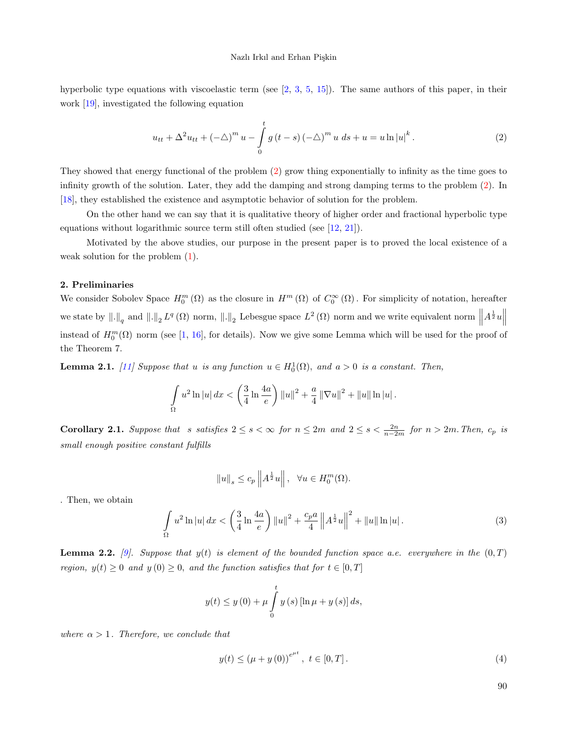hyperbolic type equations with viscoelastic term (see [\[2,](#page-10-1) [3,](#page-10-2) [5,](#page-11-9) [15\]](#page-11-10)). The same authors of this paper, in their work [\[19\]](#page-11-11), investigated the following equation

<span id="page-1-0"></span>
$$
u_{tt} + \Delta^2 u_{tt} + (-\triangle)^m u - \int_0^t g(t-s) (-\triangle)^m u \, ds + u = u \ln |u|^k. \tag{2}
$$

They showed that energy functional of the problem [\(2\)](#page-1-0) grow thing exponentially to infinity as the time goes to infinity growth of the solution. Later, they add the damping and strong damping terms to the problem [\(2\)](#page-1-0). In [\[18\]](#page-11-12), they established the existence and asymptotic behavior of solution for the problem.

On the other hand we can say that it is qualitative theory of higher order and fractional hyperbolic type equations without logarithmic source term still often studied (see [\[12,](#page-11-13) [21\]](#page-11-14)).

Motivated by the above studies, our purpose in the present paper is to proved the local existence of a weak solution for the problem [\(1\)](#page-0-0).

# 2. Preliminaries

We consider Sobolev Space  $H_0^m(\Omega)$  as the closure in  $H^m(\Omega)$  of  $C_0^{\infty}(\Omega)$ . For simplicity of notation, hereafter we state by  $\|.\|_q$  and  $\|.\|_2 L^q(\Omega)$  norm,  $\|.\|_2$  Lebesgue space  $L^2(\Omega)$  norm and we write equivalent norm  $\|A^{\frac{1}{2}}u\|$ instead of  $H_0^m(\Omega)$  norm (see [\[1,](#page-10-3) [16\]](#page-11-15), for details). Now we give some Lemma which will be used for the proof of the Theorem 7.

**Lemma 2.1.** [\[11\]](#page-11-16) Suppose that u is any function  $u \in H_0^1(\Omega)$ , and  $a > 0$  is a constant. Then,

$$
\int_{\Omega} u^2 \ln |u| \, dx < \left( \frac{3}{4} \ln \frac{4a}{e} \right) \|u\|^2 + \frac{a}{4} \|\nabla u\|^2 + \|u\| \ln |u| \, .
$$

**Corollary 2.1.** Suppose that s satisfies  $2 \le s < \infty$  for  $n \le 2m$  and  $2 \le s < \frac{2n}{n-2m}$  for  $n > 2m$ . Then,  $c_p$  is small enough positive constant fulfills

$$
||u||s \le c_p ||A^{\frac{1}{2}}u||, \quad \forall u \in H_0^m(\Omega).
$$

. Then, we obtain

$$
\int_{\Omega} u^2 \ln|u| \, dx < \left(\frac{3}{4} \ln \frac{4a}{e}\right) \|u\|^2 + \frac{c_p a}{4} \|A^{\frac{1}{2}} u\|^2 + \|u\| \ln|u| \,. \tag{3}
$$

**Lemma 2.2.** [\[9\]](#page-11-17). Suppose that  $y(t)$  is element of the bounded function space a.e. everywhere in the  $(0, T)$ region,  $y(t) \geq 0$  and  $y(0) \geq 0$ , and the function satisfies that for  $t \in [0, T]$ 

$$
y(t) \leq y(0) + \mu \int_{0}^{t} y(s) [\ln \mu + y(s)] ds,
$$

where  $\alpha > 1$ . Therefore, we conclude that

$$
y(t) \le (\mu + y(0))^{e^{\mu t}}, \ t \in [0, T]. \tag{4}
$$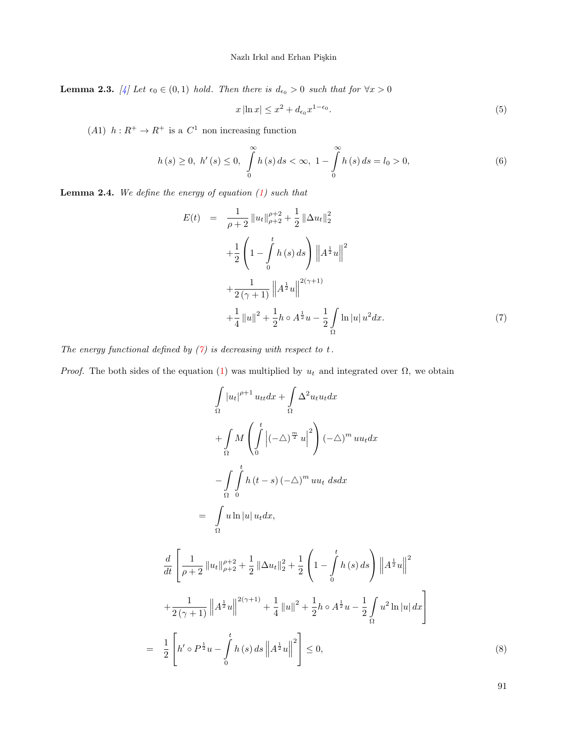**Lemma 2.3.** [\[4\]](#page-10-0) Let  $\epsilon_0 \in (0,1)$  hold. Then there is  $d_{\epsilon_0} > 0$  such that for  $\forall x > 0$ 

$$
x\left|\ln x\right| \leq x^2 + d_{\epsilon_0}x^{1-\epsilon_0}.\tag{5}
$$

(A1)  $h: R^+ \to R^+$  is a  $C^1$  non increasing function

$$
h(s) \ge 0, \ h'(s) \le 0, \ \int_{0}^{\infty} h(s) \, ds < \infty, \ 1 - \int_{0}^{\infty} h(s) \, ds = l_0 > 0,\tag{6}
$$

**Lemma 2.4.** We define the energy of equation  $(1)$  such that

<span id="page-2-0"></span>
$$
E(t) = \frac{1}{\rho+2} \|u_t\|_{\rho+2}^{\rho+2} + \frac{1}{2} \|\Delta u_t\|_2^2
$$
  
+ 
$$
\frac{1}{2} \left(1 - \int_0^t h(s) ds\right) \|A^{\frac{1}{2}}u\|^2
$$
  
+ 
$$
\frac{1}{2(\gamma+1)} \|A^{\frac{1}{2}}u\|^{2(\gamma+1)}
$$
  
+ 
$$
\frac{1}{4} \|u\|^2 + \frac{1}{2} h \circ A^{\frac{1}{2}}u - \frac{1}{2} \int_{\Omega} \ln |u| u^2 dx.
$$
 (7)

The energy functional defined by  $(7)$  is decreasing with respect to t.

*Proof.* The both sides of the equation [\(1\)](#page-0-0) was multiplied by  $u_t$  and integrated over  $\Omega$ , we obtain

$$
\int_{\Omega} |u_t|^{p+1} u_{tt} dx + \int_{\Omega} \Delta^2 u_t u_t dx
$$
  
+ 
$$
\int_{\Omega} M \left( \int_{0}^{t} |(-\Delta)^{\frac{m}{2}} u|^2 \right) (-\Delta)^m u u_t dx
$$
  
- 
$$
\int_{\Omega} \int_{0}^{t} h(t-s) (-\Delta)^m u u_t ds dx
$$
  
= 
$$
\int_{\Omega} u \ln |u| u_t dx,
$$
  

$$
\frac{d}{dt} \left[ \frac{1}{p+2} ||u_t||_{p+2}^{p+2} + \frac{1}{2} ||\Delta u_t||_2^2 + \frac{1}{2} \left( 1 - \int_{0}^{t} h(s) ds \right) ||A^{\frac{1}{2}} u||^2
$$
  
+ 
$$
\frac{1}{2(\gamma+1)} ||A^{\frac{1}{2}} u||^{2(\gamma+1)} + \frac{1}{4} ||u||^2 + \frac{1}{2} h \circ A^{\frac{1}{2}} u - \frac{1}{2} \int_{\Omega} u^2 \ln |u| dx \right]
$$
  
= 
$$
\frac{1}{2} \left[ h' \circ P^{\frac{1}{2}} u - \int_{0}^{t} h(s) ds ||A^{\frac{1}{2}} u||^2 \right] \leq 0,
$$
 (8)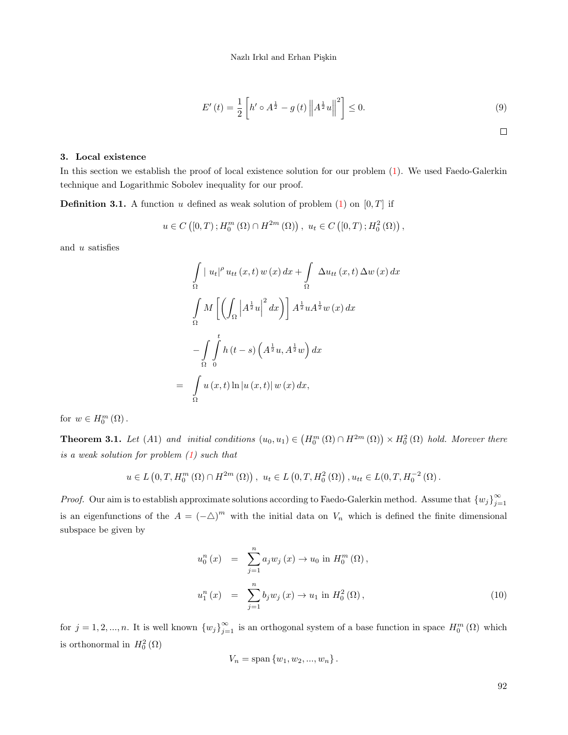$$
E'(t) = \frac{1}{2} \left[ h' \circ A^{\frac{1}{2}} - g(t) \left\| A^{\frac{1}{2}} u \right\|^2 \right] \le 0.
$$
 (9)

### 3. Local existence

In this section we establish the proof of local existence solution for our problem [\(1\)](#page-0-0). We used Faedo-Galerkin technique and Logarithmic Sobolev inequality for our proof.

**Definition 3.1.** A function u defined as weak solution of problem  $(1)$  on  $[0, T]$  if

=

$$
u \in C ([0, T); H_0^m(\Omega) \cap H^{2m}(\Omega)), u_t \in C ([0, T); H_0^2(\Omega)),
$$

and u satisfies

$$
\int_{\Omega} |u_t|^{\rho} u_{tt}(x,t) w(x) dx + \int_{\Omega} \Delta u_{tt}(x,t) \Delta w(x) dx
$$

$$
\int_{\Omega} M \left[ \left( \int_{\Omega} \left| A^{\frac{1}{2}} u \right|^2 dx \right) \right] A^{\frac{1}{2}} u A^{\frac{1}{2}} w(x) dx
$$

$$
- \int_{\Omega} \int_{0}^{t} h(t-s) \left( A^{\frac{1}{2}} u, A^{\frac{1}{2}} w \right) dx
$$

$$
\int_{\Omega} u(x,t) \ln |u(x,t)| w(x) dx,
$$

for  $w \in H_0^m(\Omega)$ .

**Theorem 3.1.** Let (A1) and initial conditions  $(u_0, u_1) \in (H_0^m(\Omega) \cap H^{2m}(\Omega)) \times H_0^2(\Omega)$  hold. Morever there is a weak solution for problem [\(1\)](#page-0-0) such that

$$
u \in L(0,T,H_0^m(\Omega) \cap H^{2m}(\Omega)), u_t \in L(0,T,H_0^2(\Omega)), u_{tt} \in L(0,T,H_0^{-2}(\Omega)).
$$

*Proof.* Our aim is to establish approximate solutions according to Faedo-Galerkin method. Assume that  ${w_j}_{i=1}^{\infty}$  $j=1$ is an eigenfunctions of the  $A = (-\triangle)^m$  with the initial data on  $V_n$  which is defined the finite dimensional subspace be given by

<span id="page-3-0"></span>
$$
u_0^n(x) = \sum_{j=1}^n a_j w_j(x) \to u_0 \text{ in } H_0^m(\Omega),
$$
  

$$
u_1^n(x) = \sum_{j=1}^n b_j w_j(x) \to u_1 \text{ in } H_0^2(\Omega),
$$
 (10)

for  $j = 1, 2, ..., n$ . It is well known  $\{w_j\}_{j=1}^{\infty}$  is an orthogonal system of a base function in space  $H_0^m(\Omega)$  which is orthonormal in  $H_0^2(\Omega)$ 

$$
V_n = \text{span}\{w_1, w_2, ..., w_n\}.
$$

 $\Box$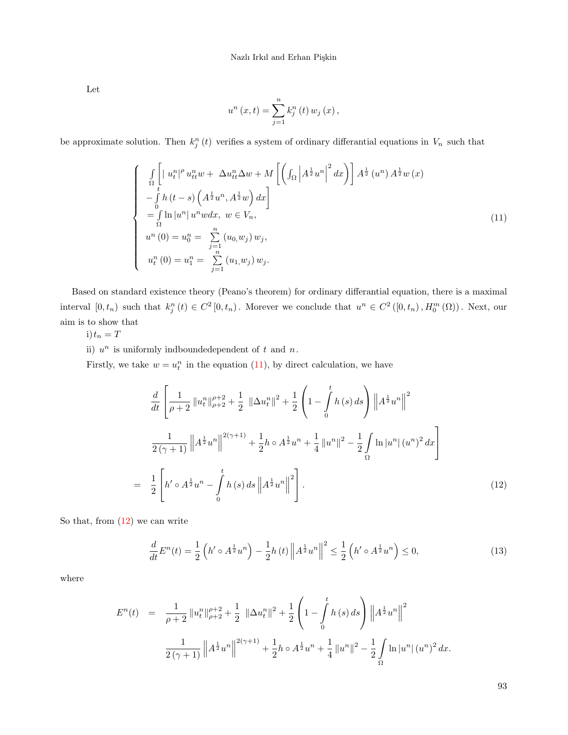Let

<span id="page-4-0"></span>
$$
u^{n}(x,t) = \sum_{j=1}^{n} k_{j}^{n}(t) w_{j}(x),
$$

be approximate solution. Then  $k_j^n(t)$  verifies a system of ordinary differantial equations in  $V_n$  such that

$$
\begin{cases}\n\int_{\Omega} \left[ |u_t^n|^{\rho} u_{tt}^n w + \Delta u_{tt}^n \Delta w + M \left[ \left( \int_{\Omega} \left| A^{\frac{1}{2}} u^n \right|^2 dx \right) \right] A^{\frac{1}{2}} (u^n) A^{\frac{1}{2}} w(x) \right. \\
-\int_{0}^{t} h(t-s) \left( A^{\frac{1}{2}} u^n, A^{\frac{1}{2}} w \right) dx \\
= \int_{\Omega} \ln |u^n| u^n w dx, \ w \in V_n, \\
u^n(0) = u_0^n = \sum_{\substack{j=1 \ n \ j = 1}}^n (u_0, w_j) w_j, \\
u_t^n(0) = u_1^n = \sum_{j=1}^n (u_1, w_j) w_j.\n\end{cases} \tag{11}
$$

Based on standard existence theory (Peano's theorem) for ordinary differantial equation, there is a maximal interval  $[0, t_n)$  such that  $k_j^n(t) \in C^2[0, t_n)$ . Morever we conclude that  $u^n \in C^2([0, t_n), H_0^m(\Omega))$ . Next, our aim is to show that

$$
i) t_n = T
$$

ii)  $u^n$  is uniformly indboundedependent of t and n.

Firstly, we take  $w = u_t^n$  in the equation [\(11\)](#page-4-0), by direct calculation, we have

<span id="page-4-1"></span>
$$
\frac{d}{dt} \left[ \frac{1}{\rho+2} \left\| u_t^n \right\|_{\rho+2}^{\rho+2} + \frac{1}{2} \left\| \Delta u_t^n \right\|^2 + \frac{1}{2} \left( 1 - \int_0^t h(s) \, ds \right) \left\| A^{\frac{1}{2}} u^n \right\|^2
$$
\n
$$
\frac{1}{2(\gamma+1)} \left\| A^{\frac{1}{2}} u^n \right\|^{2(\gamma+1)} + \frac{1}{2} h \circ A^{\frac{1}{2}} u^n + \frac{1}{4} \left\| u^n \right\|^2 - \frac{1}{2} \int_{\Omega} \ln |u^n| \left( u^n \right)^2 dx \right]
$$
\n
$$
= \frac{1}{2} \left[ h' \circ A^{\frac{1}{2}} u^n - \int_0^t h(s) \, ds \left\| A^{\frac{1}{2}} u^n \right\|^2 \right]. \tag{12}
$$

So that, from [\(12\)](#page-4-1) we can write

<span id="page-4-2"></span>
$$
\frac{d}{dt}E^{n}(t) = \frac{1}{2}\left(h' \circ A^{\frac{1}{2}}u^{n}\right) - \frac{1}{2}h\left(t\right)\left\|A^{\frac{1}{2}}u^{n}\right\|^{2} \le \frac{1}{2}\left(h' \circ A^{\frac{1}{2}}u^{n}\right) \le 0,\tag{13}
$$

where

$$
E^{n}(t) = \frac{1}{\rho+2} ||u_{t}^{n}||_{\rho+2}^{\rho+2} + \frac{1}{2} ||\Delta u_{t}^{n}||^{2} + \frac{1}{2} \left(1 - \int_{0}^{t} h(s) ds\right) ||A^{\frac{1}{2}}u^{n}||^{2}
$$

$$
\frac{1}{2(\gamma+1)} ||A^{\frac{1}{2}}u^{n}||^{2(\gamma+1)} + \frac{1}{2}h \circ A^{\frac{1}{2}}u^{n} + \frac{1}{4} ||u^{n}||^{2} - \frac{1}{2} \int_{\Omega} \ln |u^{n}| (u^{n})^{2} dx.
$$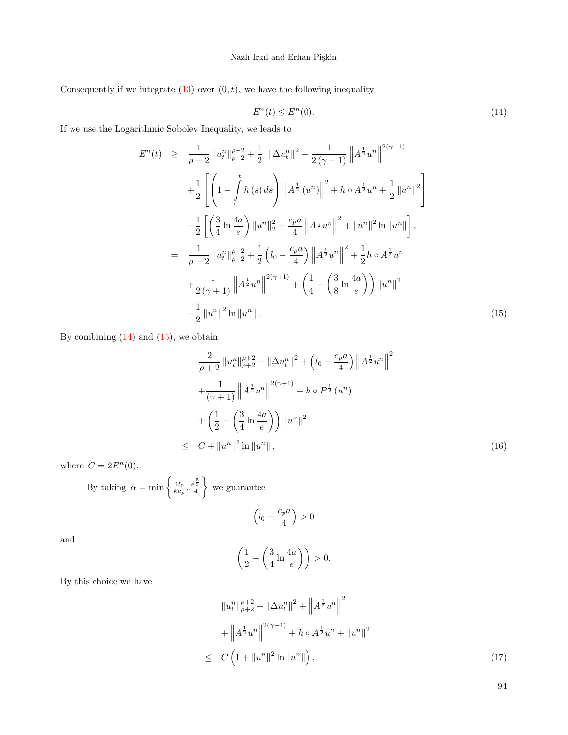<span id="page-5-0"></span>Consequently if we integrate  $(13)$  over  $(0, t)$ , we have the following inequality

$$
E^n(t) \le E^n(0). \tag{14}
$$

If we use the Logarithmic Sobolev Inequality, we leads to

<span id="page-5-1"></span>
$$
E^{n}(t) \geq \frac{1}{\rho+2} \|u_{t}^{n}\|_{\rho+2}^{\rho+2} + \frac{1}{2} \|\Delta u_{t}^{n}\|^{2} + \frac{1}{2(\gamma+1)} \|A^{\frac{1}{2}}u^{n}\|^{2(\gamma+1)}
$$
  
+ 
$$
\frac{1}{2} \left[ \left(1 - \int_{0}^{t} h(s) ds \right) \|A^{\frac{1}{2}}(u^{n})\|^{2} + h \circ A^{\frac{1}{2}}u^{n} + \frac{1}{2} \|u^{n}\|^{2} \right]
$$

$$
- \frac{1}{2} \left[ \left(\frac{3}{4} \ln \frac{4a}{e}\right) \|u^{n}\|_{2}^{2} + \frac{c_{p}a}{4} \|A^{\frac{1}{2}}u^{n}\|^{2} + \|u^{n}\|^{2} \ln \|u^{n}\| \right],
$$

$$
= \frac{1}{\rho+2} \|u_{t}^{n}\|_{\rho+2}^{\rho+2} + \frac{1}{2} \left(l_{0} - \frac{c_{p}a}{4}\right) \|A^{\frac{1}{2}}u^{n}\|^{2} + \frac{1}{2}h \circ A^{\frac{1}{2}}u^{n}
$$

$$
+ \frac{1}{2(\gamma+1)} \|A^{\frac{1}{2}}u^{n}\|^{2(\gamma+1)} + \left(\frac{1}{4} - \left(\frac{3}{8} \ln \frac{4a}{e}\right)\right) \|u^{n}\|^{2}
$$

$$
- \frac{1}{2} \|u^{n}\|^{2} \ln \|u^{n}\|,
$$
(15)

By combining  $(14)$  and  $(15)$ , we obtain

$$
\frac{2}{\rho+2} \|u_t^n\|_{\rho+2}^{\rho+2} + \|\Delta u_t^n\|^2 + \left(l_0 - \frac{c_p a}{4}\right) \|A^{\frac{1}{2}} u^n\|^2 + \frac{1}{(\gamma+1)} \|A^{\frac{1}{2}} u^n\|^2^{(\gamma+1)} + h \circ P^{\frac{1}{2}} (u^n) + \left(\frac{1}{2} - \left(\frac{3}{4} \ln \frac{4a}{e}\right)\right) \|u^n\|^2
$$
\n
$$
\leq C + \|u^n\|^2 \ln \|u^n\| \,, \tag{16}
$$

where  $C = 2E^n(0)$ .

By taking 
$$
\alpha = \min \left\{ \frac{4l_0}{kc_p}, \frac{\epsilon^{\frac{5}{3}}}{4} \right\}
$$
 we guarantee

$$
\left(l_0 - \frac{c_p a}{4}\right) > 0
$$

and

$$
\left(\frac{1}{2} - \left(\frac{3}{4}\ln\frac{4a}{e}\right)\right) > 0.
$$

By this choice we have

<span id="page-5-2"></span>
$$
||u_t^n||_{\rho+2}^{\rho+2} + ||\Delta u_t^n||^2 + ||A^{\frac{1}{2}}u^n||^2
$$
  
+ 
$$
||A^{\frac{1}{2}}u^n||^{2(\gamma+1)} + h \circ A^{\frac{1}{2}}u^n + ||u^n||^2
$$
  

$$
\leq C \left(1 + ||u^n||^2 \ln ||u^n||\right).
$$
 (17)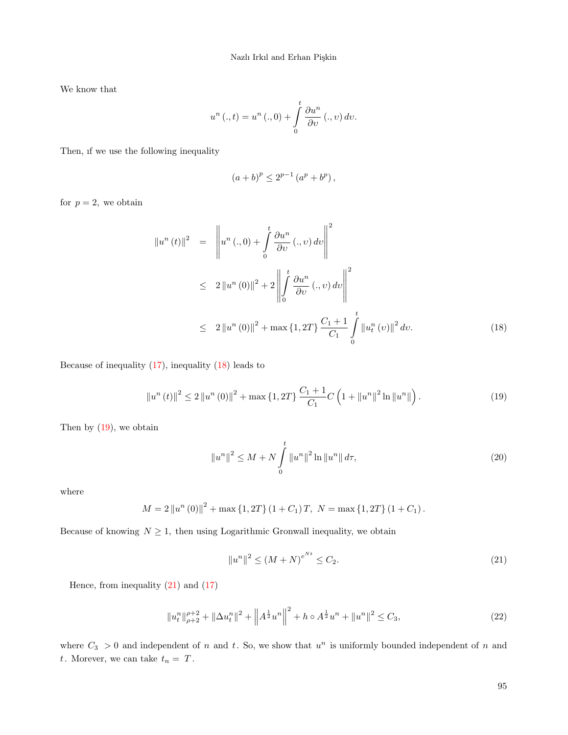We know that

$$
u^{n}(.,t) = u^{n}(.,0) + \int_{0}^{t} \frac{\partial u^{n}}{\partial v} (.,v) dv.
$$

Then, ıf we use the following inequality

$$
(a+b)^p \le 2^{p-1} (a^p + b^p),
$$

for  $p = 2$ , we obtain

<span id="page-6-0"></span>
$$
\|u^{n}(t)\|^{2} = \left\|u^{n}(.,0) + \int_{0}^{t} \frac{\partial u^{n}}{\partial v} (.,v) dv\right\|^{2}
$$
  
\n
$$
\leq 2 \left\|u^{n}(0)\right\|^{2} + 2 \left\|\int_{0}^{t} \frac{\partial u^{n}}{\partial v} (.,v) dv\right\|^{2}
$$
  
\n
$$
\leq 2 \left\|u^{n}(0)\right\|^{2} + \max\{1,2T\} \frac{C_{1} + 1}{C_{1}} \int_{0}^{t} \left\|u_{t}^{n}(v)\right\|^{2} dv. \tag{18}
$$

Because of inequality  $(17)$ , inequality  $(18)$  leads to

$$
\left\|u^{n}\left(t\right)\right\|^{2} \le 2\left\|u^{n}\left(0\right)\right\|^{2} + \max\left\{1, 2T\right\} \frac{C_{1} + 1}{C_{1}} C \left(1 + \left\|u^{n}\right\|^{2} \ln\left\|u^{n}\right\|\right). \tag{19}
$$

Then by [\(19\)](#page-6-1), we obtain

<span id="page-6-1"></span>
$$
||u^n||^2 \le M + N \int_0^t ||u^n||^2 \ln ||u^n|| d\tau,
$$
\n(20)

where

$$
M = 2 ||un (0)||2 + max {1, 2T} (1 + C1)T, N = max {1, 2T} (1 + C1).
$$

Because of knowing  $N \geq 1$ , then using Logarithmic Gronwall inequality, we obtain

<span id="page-6-3"></span><span id="page-6-2"></span>
$$
||u^n||^2 \le (M+N)^{e^{Nt}} \le C_2. \tag{21}
$$

Hence, from inequality  $(21)$  and  $(17)$ 

$$
||u_t^n||_{\rho+2}^{\rho+2} + ||\Delta u_t^n||^2 + ||A^{\frac{1}{2}}u^n||^2 + h \circ A^{\frac{1}{2}}u^n + ||u^n||^2 \le C_3,
$$
\n(22)

where  $C_3 > 0$  and independent of n and t. So, we show that  $u^n$  is uniformly bounded independent of n and  $t.$  Morever, we can take  $\,t_n=\,T.$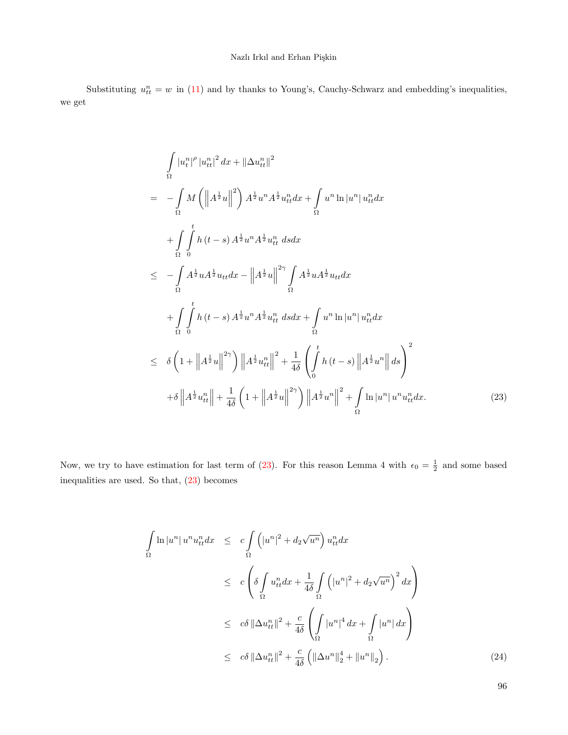Substituting  $u_{tt}^n = w$  in [\(11\)](#page-4-0) and by thanks to Young's, Cauchy-Schwarz and embedding's inequalities, we get

<span id="page-7-0"></span>
$$
\int_{\Omega} |u_t^n|^{\rho} |u_{tt}^n|^2 dx + \|\Delta u_{tt}^n\|^2
$$
\n
$$
= - \int_{\Omega} M \left( \left\| A^{\frac{1}{2}} u \right\|^2 \right) A^{\frac{1}{2}} u^n A^{\frac{1}{2}} u_{tt}^n dx + \int_{\Omega} u^n \ln |u^n| u_{tt}^n dx
$$
\n
$$
+ \int_{\Omega} \int_{0}^{t} h(t-s) A^{\frac{1}{2}} u^n A^{\frac{1}{2}} u_{tt}^n ds dx
$$
\n
$$
\leq - \int_{\Omega} A^{\frac{1}{2}} u A^{\frac{1}{2}} u_{tt} dx - \left\| A^{\frac{1}{2}} u \right\|^{2\gamma} \int_{\Omega} A^{\frac{1}{2}} u A^{\frac{1}{2}} u_{tt} dx
$$
\n
$$
+ \int_{\Omega} \int_{0}^{t} h(t-s) A^{\frac{1}{2}} u^n A^{\frac{1}{2}} u_{tt}^n ds dx + \int_{\Omega} u^n \ln |u^n| u_{tt}^n dx
$$
\n
$$
\leq \delta \left( 1 + \left\| A^{\frac{1}{2}} u \right\|^{2\gamma} \right) \left\| A^{\frac{1}{2}} u_{tt}^n \right\|^{2} + \frac{1}{4\delta} \left( \int_{0}^{t} h(t-s) \left\| A^{\frac{1}{2}} u^n \right\| ds \right)^{2}
$$
\n
$$
+ \delta \left\| A^{\frac{1}{2}} u_{tt}^n \right\| + \frac{1}{4\delta} \left( 1 + \left\| A^{\frac{1}{2}} u \right\|^{2\gamma} \right) \left\| A^{\frac{1}{2}} u^n \right\|^{2} + \int_{\Omega} \ln |u^n| u^n u_{tt}^n dx. \tag{23}
$$

Now, we try to have estimation for last term of [\(23\)](#page-7-0). For this reason Lemma 4 with  $\epsilon_0 = \frac{1}{2}$  and some based inequalities are used. So that, [\(23\)](#page-7-0) becomes

<span id="page-7-1"></span>
$$
\int_{\Omega} \ln |u^n| u^n u_{tt}^n dx \leq c \int_{\Omega} \left( |u^n|^2 + d_2 \sqrt{u^n} \right) u_{tt}^n dx
$$
\n
$$
\leq c \left( \delta \int_{\Omega} u_{tt}^n dx + \frac{1}{4\delta} \int_{\Omega} \left( |u^n|^2 + d_2 \sqrt{u^n} \right)^2 dx \right)
$$
\n
$$
\leq c \delta \|\Delta u_{tt}^n\|^2 + \frac{c}{4\delta} \left( \int_{\Omega} |u^n|^4 dx + \int_{\Omega} |u^n| dx \right)
$$
\n
$$
\leq c \delta \|\Delta u_{tt}^n\|^2 + \frac{c}{4\delta} \left( \|\Delta u^n\|_2^4 + \|u^n\|_2 \right).
$$
\n(24)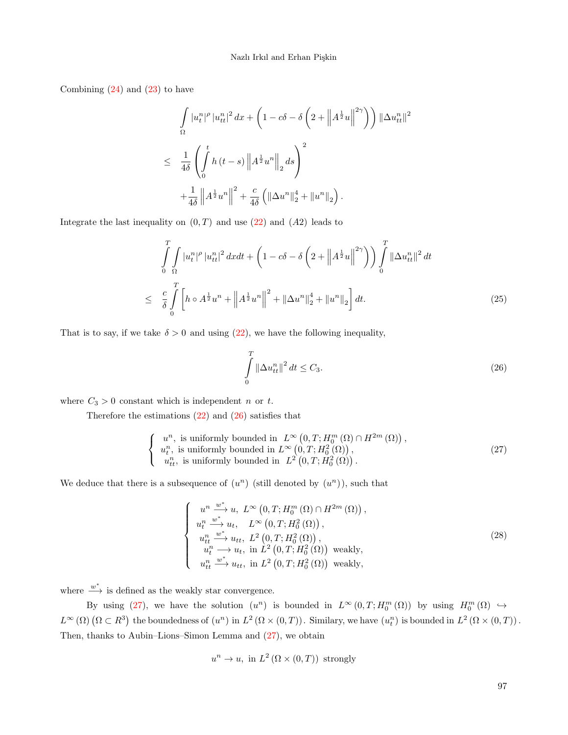Combining  $(24)$  and  $(23)$  to have

$$
\int_{\Omega} |u_t^n|^{\rho} |u_{tt}^n|^2 dx + \left(1 - c\delta - \delta \left(2 + \left\|A^{\frac{1}{2}}u\right\|^{2\gamma}\right)\right) \|\Delta u_{tt}^n\|^2
$$
\n
$$
\leq \frac{1}{4\delta} \left(\int_0^t h(t-s) \left\|A^{\frac{1}{2}}u^n\right\|_{2} ds\right)^2
$$
\n
$$
+ \frac{1}{4\delta} \left\|A^{\frac{1}{2}}u^n\right\|^2 + \frac{c}{4\delta} \left(\|\Delta u^n\|_{2}^4 + \|u^n\|_{2}\right).
$$

Integrate the last inequality on  $(0, T)$  and use  $(22)$  and  $(A2)$  leads to

$$
\int_{0}^{T} \int_{\Omega} |u_{t}^{n}|^{\rho} |u_{tt}^{n}|^{2} dxdt + \left(1 - c\delta - \delta\left(2 + \left\|A^{\frac{1}{2}}u\right\|^{2\gamma}\right)\right) \int_{0}^{T} \left\|\Delta u_{tt}^{n}\right\|^{2} dt
$$
\n
$$
\leq \frac{c}{\delta} \int_{0}^{T} \left[h \circ A^{\frac{1}{2}}u^{n} + \left\|A^{\frac{1}{2}}u^{n}\right\|^{2} + \left\|\Delta u^{n}\right\|_{2}^{4} + \left\|u^{n}\right\|_{2}\right] dt.
$$
\n(25)

That is to say, if we take  $\delta > 0$  and using [\(22\)](#page-6-3), we have the following inequality,

<span id="page-8-2"></span><span id="page-8-1"></span><span id="page-8-0"></span>
$$
\int_{0}^{T} \|\Delta u_{tt}^{n}\|^{2} dt \le C_{3}.
$$
\n(26)

where  $C_3 > 0$  constant which is independent *n* or *t*.

Therefore the estimations  $(22)$  and  $(26)$  satisfies that

$$
\begin{cases}\n u^n, \text{ is uniformly bounded in } L^{\infty}(0,T; H_0^m(\Omega) \cap H^{2m}(\Omega)), \\
 u_t^n, \text{ is uniformly bounded in } L^{\infty}(0,T; H_0^2(\Omega)), \\
 u_{tt}^n, \text{ is uniformly bounded in } L^2(0,T; H_0^2(\Omega)).\n\end{cases}
$$
\n(27)

We deduce that there is a subsequence of  $(u^n)$  (still denoted by  $(u^n)$ ), such that

$$
\begin{cases}\n u^n \xrightarrow{w^*} u, \ L^{\infty} (0, T; H_0^m (\Omega) \cap H^{2m} (\Omega)),\n u_t^n \xrightarrow{w^*} u_t, \ L^{\infty} (0, T; H_0^2 (\Omega)),\n u_{tt}^m \xrightarrow{w^*} u_{tt}, \ L^2 (0, T; H_0^2 (\Omega)),\n u_t^n \longrightarrow u_t, \text{ in } L^2 (0, T; H_0^2 (\Omega)) \text{ weakly},\n u_{tt}^n \xrightarrow{w^*} u_{tt}, \text{ in } L^2 (0, T; H_0^2 (\Omega)) \text{ weakly},\n\end{cases}
$$
\n(28)

where  $\stackrel{w^*}{\longrightarrow}$  is defined as the weakly star convergence.

By using [\(27\)](#page-8-1), we have the solution  $(u^n)$  is bounded in  $L^{\infty}(0,T;H_0^m(\Omega))$  by using  $H_0^m(\Omega) \hookrightarrow$  $L^{\infty}(\Omega)$   $(\Omega \subset R^3)$  the boundedness of  $(u^n)$  in  $L^2(\Omega \times (0,T))$ . Similary, we have  $(u_t^n)$  is bounded in  $L^2(\Omega \times (0,T))$ . Then, thanks to Aubin–Lions–Simon Lemma and [\(27\)](#page-8-1), we obtain

$$
u^n \to u
$$
, in  $L^2(\Omega \times (0,T))$  strongly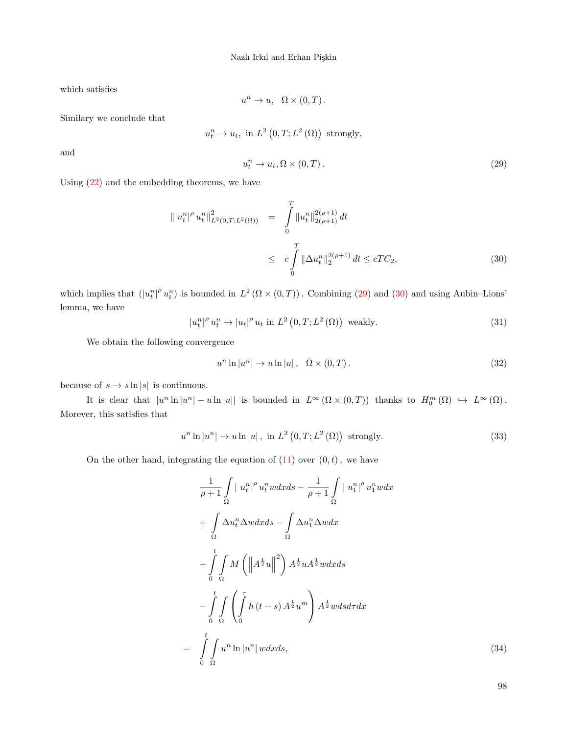which satisfies

$$
u^n \to u, \ \Omega \times (0,T).
$$

Similary we conclude that

$$
u_t^n \to u_t
$$
, in  $L^2(0,T;L^2(\Omega))$  strongly,

<span id="page-9-0"></span>and

$$
u_t^n \to u_t, \Omega \times (0, T). \tag{29}
$$

Using [\(22\)](#page-6-3) and the embedding theorems, we have

<span id="page-9-1"></span>
$$
\| |u_t^n|^{\rho} u_t^n \|_{L^2(0,T;L^2(\Omega))}^2 = \int_0^T \| u_t^n \|_{2(\rho+1)}^{2(\rho+1)} dt
$$
  

$$
\leq c \int_0^T \| \Delta u_t^n \|_{2}^{2(\rho+1)} dt \leq cTC_2,
$$
 (30)

which implies that  $(|u_t^n|^{\rho} u_t^n)$  is bounded in  $L^2(\Omega \times (0,T))$ . Combining [\(29\)](#page-9-0) and [\(30\)](#page-9-1) and using Aubin–Lions' lemma, we have

$$
|u_t^n|^{\rho} u_t^n \to |u_t|^{\rho} u_t \text{ in } L^2(0,T;L^2(\Omega)) \text{ weakly.}
$$
\n(31)

<span id="page-9-3"></span>We obtain the following convergence

$$
u^{n}\ln|u^{n}| \to u\ln|u|, \quad \Omega \times (0,T). \tag{32}
$$

because of  $s \to s \ln |s|$  is continuous.

It is clear that  $|u^n \ln |u^n| - u \ln |u|$  is bounded in  $L^{\infty}(\Omega \times (0,T))$  thanks to  $H_0^m(\Omega) \hookrightarrow L^{\infty}(\Omega)$ . Morever, this satisfies that

<span id="page-9-2"></span>
$$
u^{n}\ln|u^{n}| \to u\ln|u|, \text{ in } L^{2}(0,T;L^{2}(\Omega)) \text{ strongly.}
$$
\n(33)

On the other hand, integrating the equation of  $(11)$  over  $(0, t)$ , we have

<span id="page-9-4"></span>
$$
\frac{1}{\rho+1} \int_{\Omega} |u_t^n|^{\rho} u_t^n w dx ds - \frac{1}{\rho+1} \int_{\Omega} |u_t^n|^{\rho} u_t^n w dx \n+ \int_{\Omega} \Delta u_t^n \Delta w dx ds - \int_{\Omega} \Delta u_1^n \Delta w dx \n+ \int_{0}^{t} \int_{\Omega} M \left( \left\| A^{\frac{1}{2}} u \right\|^2 \right) A^{\frac{1}{2}} u A^{\frac{1}{2}} w dx ds \n- \int_{0}^{t} \int_{\Omega} \left( \int_{0}^{\tau} h(t-s) A^{\frac{1}{2}} u^m \right) A^{\frac{1}{2}} w ds d\tau dx \n= \int_{0}^{t} \int_{\Omega} u^n \ln |u^n| w dx ds,
$$
\n(34)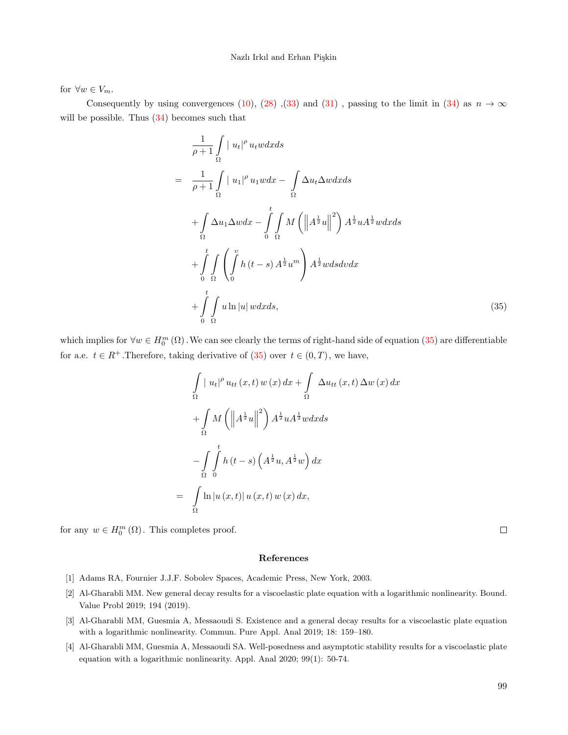#### Nazlı Irkıl and Erhan Pişkin

for  $\forall w \in V_m$ .

Consequently by using convergences [\(10\)](#page-3-0), [\(28\)](#page-8-2) ,[\(33\)](#page-9-2) and [\(31\)](#page-9-3), passing to the limit in [\(34\)](#page-9-4) as  $n \to \infty$ will be possible. Thus  $(34)$  becomes such that

<span id="page-10-4"></span>
$$
\frac{1}{\rho+1} \int_{\Omega} |u_t|^{\rho} u_t w dx ds
$$
\n
$$
= \frac{1}{\rho+1} \int_{\Omega} |u_1|^{\rho} u_1 w dx - \int_{\Omega} \Delta u_t \Delta w dx ds
$$
\n
$$
+ \int_{\Omega} \Delta u_1 \Delta w dx - \int_{0}^{t} \int_{\Omega} M \left( \left\| A^{\frac{1}{2}} u \right\|^2 \right) A^{\frac{1}{2}} u A^{\frac{1}{2}} w dx ds
$$
\n
$$
+ \int_{0}^{t} \int_{\Omega} \left( \int_{0}^{v} h(t-s) A^{\frac{1}{2}} u^{m} \right) A^{\frac{1}{2}} w ds dv dx
$$
\n
$$
+ \int_{0}^{t} \int_{\Omega} u \ln |u| w dx ds,
$$
\n(35)

which implies for  $\forall w \in H_0^m(\Omega)$ . We can see clearly the terms of right-hand side of equation [\(35\)](#page-10-4) are differentiable for a.e.  $t \in R^+$ . Therefore, taking derivative of  $(35)$  over  $t \in (0, T)$ , we have,

$$
\int_{\Omega} |u_t|^{\rho} u_{tt}(x,t) w(x) dx + \int_{\Omega} \Delta u_{tt}(x,t) \Delta w(x) dx
$$

$$
+ \int_{\Omega} M \left( \left\| A^{\frac{1}{2}} u \right\|^2 \right) A^{\frac{1}{2}} u A^{\frac{1}{2}} w dx ds
$$

$$
- \int_{\Omega} \int_{0}^{t} h(t-s) \left( A^{\frac{1}{2}} u, A^{\frac{1}{2}} w \right) dx
$$

$$
= \int_{\Omega} \ln |u(x,t)| u(x,t) w(x) dx,
$$

for any  $w \in H_0^m(\Omega)$ . This completes proof.

 $\Box$ 

#### References

- <span id="page-10-3"></span>[1] Adams RA, Fournier J.J.F. Sobolev Spaces, Academic Press, New York, 2003.
- <span id="page-10-1"></span>[2] Al-Gharabli MM. New general decay results for a viscoelastic plate equation with a logarithmic nonlinearity. Bound. Value Probl 2019; 194 (2019).
- <span id="page-10-2"></span>[3] Al-Gharabli MM, Guesmia A, Messaoudi S. Existence and a general decay results for a viscoelastic plate equation with a logarithmic nonlinearity. Commun. Pure Appl. Anal 2019; 18: 159–180.
- <span id="page-10-0"></span>[4] Al-Gharabli MM, Guesmia A, Messaoudi SA. Well-posedness and asymptotic stability results for a viscoelastic plate equation with a logarithmic nonlinearity. Appl. Anal 2020; 99(1): 50-74.